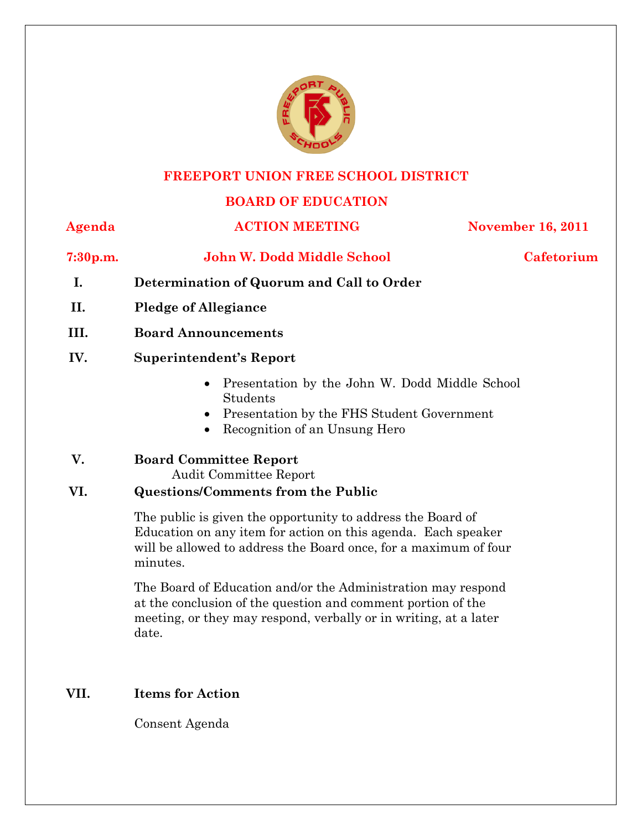

#### **FREEPORT UNION FREE SCHOOL DISTRICT**

### **BOARD OF EDUCATION**

#### **Agenda ACTION MEETING November 16, 2011**

# **7:30p.m. John W. Dodd Middle School Cafetorium**

- **I. Determination of Quorum and Call to Order**
- **II. Pledge of Allegiance**
- **III. Board Announcements**

#### **IV. Superintendent's Report**

- Presentation by the John W. Dodd Middle School Students
- Presentation by the FHS Student Government
- Recognition of an Unsung Hero

#### **V. Board Committee Report**

Audit Committee Report

### **VI. Questions/Comments from the Public**

The public is given the opportunity to address the Board of Education on any item for action on this agenda. Each speaker will be allowed to address the Board once, for a maximum of four minutes.

The Board of Education and/or the Administration may respond at the conclusion of the question and comment portion of the meeting, or they may respond, verbally or in writing, at a later date.

## **VII. Items for Action**

Consent Agenda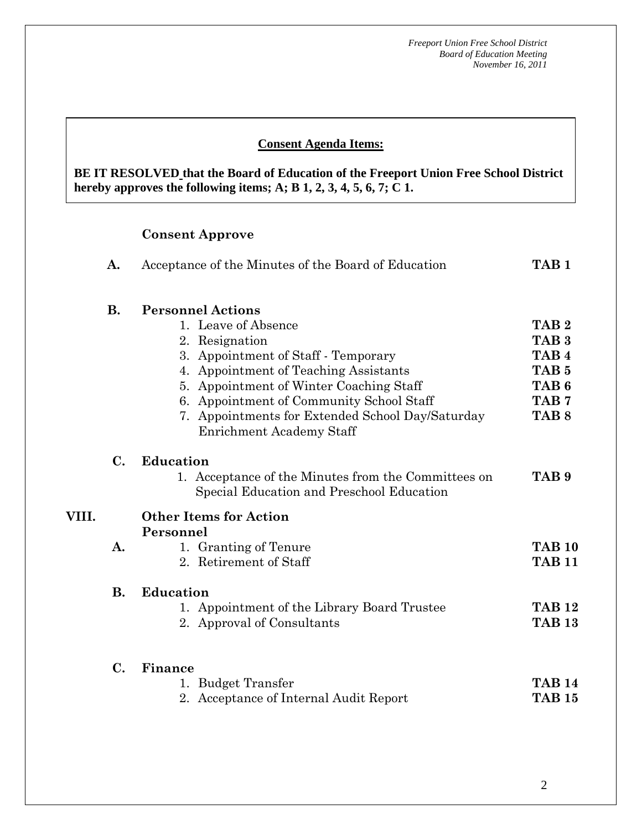#### **Consent Agenda Items:**

 *Acceptance of the Minutes*  $\mathbf{A}$ **BE IT RESOLVED that the Board of Education of the Freeport Union Free School District hereby approves the following items; A; B 1, 2, 3, 4, 5, 6, 7; C 1.** 

#### **Consent Approve**

 **AA. Consent - Approve** 

|       | A.             | Acceptance of the Minutes of the Board of Education                                              | TAB <sub>1</sub>                     |
|-------|----------------|--------------------------------------------------------------------------------------------------|--------------------------------------|
|       | <b>B.</b>      | <b>Personnel Actions</b>                                                                         |                                      |
|       |                | 1. Leave of Absence                                                                              | TAB <sub>2</sub>                     |
|       |                | 2. Resignation                                                                                   | TAB <sub>3</sub>                     |
|       |                | 3. Appointment of Staff - Temporary                                                              | TAB <sub>4</sub>                     |
|       |                | 4. Appointment of Teaching Assistants                                                            | TAB <sub>5</sub>                     |
|       |                | 5. Appointment of Winter Coaching Staff                                                          | TAB <sub>6</sub><br>TAB <sub>7</sub> |
|       |                | 6. Appointment of Community School Staff<br>7. Appointments for Extended School Day/Saturday     | TAB <sub>8</sub>                     |
|       |                | <b>Enrichment Academy Staff</b>                                                                  |                                      |
|       | C.             | <b>Education</b>                                                                                 |                                      |
|       |                | 1. Acceptance of the Minutes from the Committees on<br>Special Education and Preschool Education | TAB <sub>9</sub>                     |
| VIII. |                | <b>Other Items for Action</b><br>Personnel                                                       |                                      |
|       | A.             | 1. Granting of Tenure                                                                            | <b>TAB 10</b>                        |
|       |                | 2. Retirement of Staff                                                                           | <b>TAB 11</b>                        |
|       | <b>B.</b>      | <b>Education</b>                                                                                 |                                      |
|       |                | 1. Appointment of the Library Board Trustee                                                      | <b>TAB 12</b>                        |
|       |                | 2. Approval of Consultants                                                                       | <b>TAB 13</b>                        |
|       | $\mathbf{C}$ . | Finance                                                                                          |                                      |
|       |                | 1. Budget Transfer                                                                               | <b>TAB 14</b>                        |
|       |                | 2. Acceptance of Internal Audit Report                                                           | <b>TAB 15</b>                        |
|       |                |                                                                                                  |                                      |